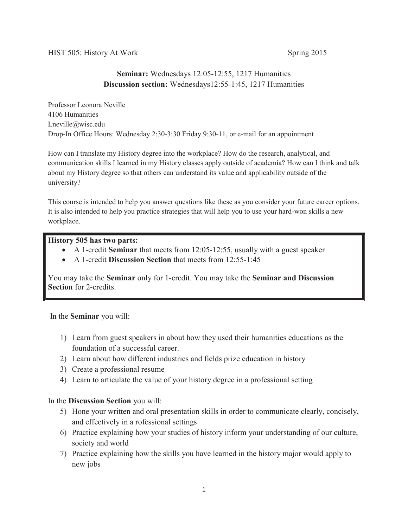HIST 505: History At Work Spring 2015

# **Seminar:** Wednesdays 12:05-12:55, 1217 Humanities **Discussion section:** Wednesdays12:55-1:45, 1217 Humanities

Professor Leonora Neville 4106 Humanities Lneville@wisc.edu Drop-In Office Hours: Wednesday 2:30-3:30 Friday 9:30-11, or e-mail for an appointment

How can I translate my History degree into the workplace? How do the research, analytical, and communication skills I learned in my History classes apply outside of academia? How can I think and talk about my History degree so that others can understand its value and applicability outside of the university?

This course is intended to help you answer questions like these as you consider your future career options. It is also intended to help you practice strategies that will help you to use your hard-won skills a new workplace.

## **History 505 has two parts:**

- x A 1-credit **Seminar** that meets from 12:05-12:55, usually with a guest speaker
- A 1-credit **Discussion Section** that meets from 12:55-1:45

You may take the **Seminar** only for 1-credit. You may take the **Seminar and Discussion Section** for 2-credits.

In the **Seminar** you will:

- 1) Learn from guest speakers in about how they used their humanities educations as the foundation of a successful career.
- 2) Learn about how different industries and fields prize education in history
- 3) Create a professional resume
- 4) Learn to articulate the value of your history degree in a professional setting

## In the **Discussion Section** you will:

- 5) Hone your written and oral presentation skills in order to communicate clearly, concisely, and effectively in a rofessional settings
- 6) Practice explaining how your studies of history inform your understanding of our culture, society and world
- 7) Practice explaining how the skills you have learned in the history major would apply to new jobs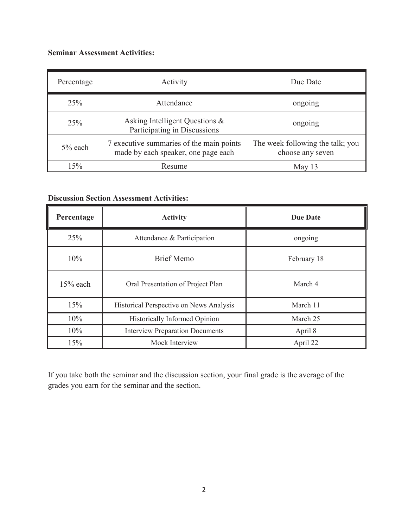# **Seminar Assessment Activities:**

| Percentage | Activity                                                                        | Due Date                                             |  |
|------------|---------------------------------------------------------------------------------|------------------------------------------------------|--|
| 25%        | Attendance                                                                      | ongoing                                              |  |
| 25%        | Asking Intelligent Questions &<br>Participating in Discussions                  | ongoing                                              |  |
| $5\%$ each | 7 executive summaries of the main points<br>made by each speaker, one page each | The week following the talk; you<br>choose any seven |  |
| 15%        | Resume                                                                          | May 13                                               |  |

# **Discussion Section Assessment Activities:**

| Percentage | <b>Activity</b>                         | <b>Due Date</b> |
|------------|-----------------------------------------|-----------------|
| 25%        | Attendance & Participation              | ongoing         |
| 10%        | <b>Brief Memo</b>                       | February 18     |
| $15%$ each | Oral Presentation of Project Plan       | March 4         |
| 15%        | Historical Perspective on News Analysis | March 11        |
| 10%        | <b>Historically Informed Opinion</b>    | March 25        |
| 10%        | <b>Interview Preparation Documents</b>  | April 8         |
| 15%        | Mock Interview                          | April 22        |

If you take both the seminar and the discussion section, your final grade is the average of the grades you earn for the seminar and the section.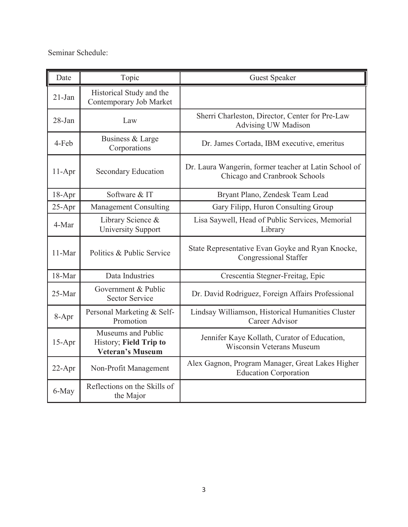Seminar Schedule:

| Date       | Topic                                                                   | <b>Guest Speaker</b>                                                                   |
|------------|-------------------------------------------------------------------------|----------------------------------------------------------------------------------------|
| $21-Jan$   | Historical Study and the<br>Contemporary Job Market                     |                                                                                        |
| $28 - Jan$ | Law                                                                     | Sherri Charleston, Director, Center for Pre-Law<br><b>Advising UW Madison</b>          |
| 4-Feb      | Business & Large<br>Corporations                                        | Dr. James Cortada, IBM executive, emeritus                                             |
| $11-Apr$   | Secondary Education                                                     | Dr. Laura Wangerin, former teacher at Latin School of<br>Chicago and Cranbrook Schools |
| $18-Apr$   | Software & IT                                                           | Bryant Plano, Zendesk Team Lead                                                        |
| $25 - Apr$ | <b>Management Consulting</b>                                            | Gary Filipp, Huron Consulting Group                                                    |
| 4-Mar      | Library Science &<br><b>University Support</b>                          | Lisa Saywell, Head of Public Services, Memorial<br>Library                             |
| 11-Mar     | Politics & Public Service                                               | State Representative Evan Goyke and Ryan Knocke,<br><b>Congressional Staffer</b>       |
| 18-Mar     | Data Industries                                                         | Crescentia Stegner-Freitag, Epic                                                       |
| 25-Mar     | Government & Public<br><b>Sector Service</b>                            | Dr. David Rodriguez, Foreign Affairs Professional                                      |
| 8-Apr      | Personal Marketing & Self-<br>Promotion                                 | Lindsay Williamson, Historical Humanities Cluster<br>Career Advisor                    |
| $15-Apr$   | Museums and Public<br>History; Field Trip to<br><b>Veteran's Museum</b> | Jennifer Kaye Kollath, Curator of Education,<br><b>Wisconsin Veterans Museum</b>       |
| 22-Apr     | Non-Profit Management                                                   | Alex Gagnon, Program Manager, Great Lakes Higher<br><b>Education Corporation</b>       |
| 6-May      | Reflections on the Skills of<br>the Major                               |                                                                                        |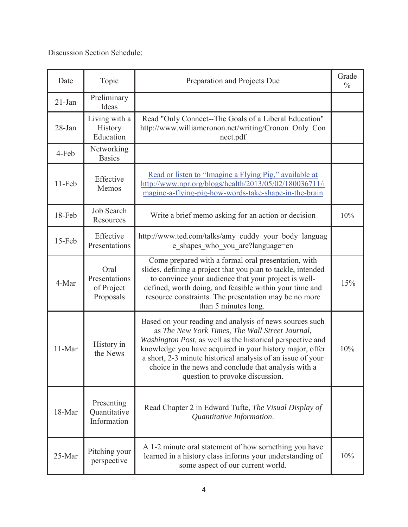Discussion Section Schedule:

| Date      | Topic                                            | Preparation and Projects Due                                                                                                                                                                                                                                                                                                                                                                   | Grade<br>$\frac{0}{0}$ |
|-----------|--------------------------------------------------|------------------------------------------------------------------------------------------------------------------------------------------------------------------------------------------------------------------------------------------------------------------------------------------------------------------------------------------------------------------------------------------------|------------------------|
| $21$ -Jan | Preliminary<br>Ideas                             |                                                                                                                                                                                                                                                                                                                                                                                                |                        |
| 28-Jan    | Living with a<br>History<br>Education            | Read "Only Connect--The Goals of a Liberal Education"<br>http://www.williamcronon.net/writing/Cronon_Only_Con<br>nect.pdf                                                                                                                                                                                                                                                                      |                        |
| 4-Feb     | Networking<br><b>Basics</b>                      |                                                                                                                                                                                                                                                                                                                                                                                                |                        |
| 11-Feb    | Effective<br>Memos                               | Read or listen to "Imagine a Flying Pig," available at<br>http://www.npr.org/blogs/health/2013/05/02/180036711/i<br>magine-a-flying-pig-how-words-take-shape-in-the-brain                                                                                                                                                                                                                      |                        |
| 18-Feb    | <b>Job Search</b><br>Resources                   | Write a brief memo asking for an action or decision                                                                                                                                                                                                                                                                                                                                            | 10%                    |
| 15-Feb    | Effective<br>Presentations                       | http://www.ted.com/talks/amy_cuddy_your_body_languag<br>e shapes who you are?language=en                                                                                                                                                                                                                                                                                                       |                        |
| 4-Mar     | Oral<br>Presentations<br>of Project<br>Proposals | Come prepared with a formal oral presentation, with<br>slides, defining a project that you plan to tackle, intended<br>to convince your audience that your project is well-<br>defined, worth doing, and feasible within your time and<br>resource constraints. The presentation may be no more<br>than 5 minutes long.                                                                        | 15%                    |
| 11-Mar    | History in<br>the News                           | Based on your reading and analysis of news sources such<br>as The New York Times, The Wall Street Journal,<br>Washington Post, as well as the historical perspective and<br>knowledge you have acquired in your history major, offer<br>a short, 2-3 minute historical analysis of an issue of your<br>choice in the news and conclude that analysis with a<br>question to provoke discussion. | 10%                    |
| 18-Mar    | Presenting<br>Quantitative<br>Information        | Read Chapter 2 in Edward Tufte, The Visual Display of<br>Quantitative Information.                                                                                                                                                                                                                                                                                                             |                        |
| 25-Mar    | Pitching your<br>perspective                     | A 1-2 minute oral statement of how something you have<br>learned in a history class informs your understanding of<br>some aspect of our current world.                                                                                                                                                                                                                                         | 10%                    |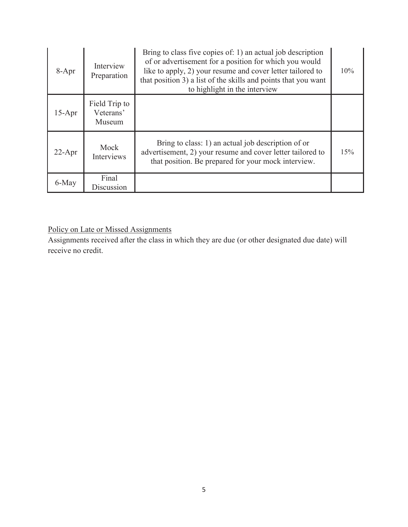| 8-Apr    | Interview<br>Preparation             | Bring to class five copies of: 1) an actual job description<br>of or advertisement for a position for which you would<br>like to apply, 2) your resume and cover letter tailored to<br>that position 3) a list of the skills and points that you want<br>to highlight in the interview | 10% |
|----------|--------------------------------------|----------------------------------------------------------------------------------------------------------------------------------------------------------------------------------------------------------------------------------------------------------------------------------------|-----|
| $15-Apr$ | Field Trip to<br>Veterans'<br>Museum |                                                                                                                                                                                                                                                                                        |     |
| $22-Apr$ | Mock<br>Interviews                   | Bring to class: 1) an actual job description of or<br>advertisement, 2) your resume and cover letter tailored to<br>that position. Be prepared for your mock interview.                                                                                                                | 15% |
| 6-May    | Final<br>Discussion                  |                                                                                                                                                                                                                                                                                        |     |

# Policy on Late or Missed Assignments

Assignments received after the class in which they are due (or other designated due date) will receive no credit.